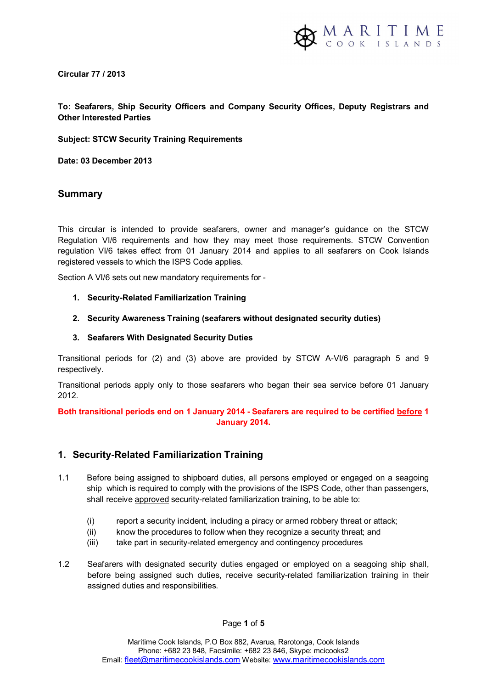

**Circular 77 / 2013** 

## **To: Seafarers, Ship Security Officers and Company Security Offices, Deputy Registrars and Other Interested Parties**

**Subject: STCW Security Training Requirements**

**Date: 03 December 2013** 

## **Summary**

This circular is intended to provide seafarers, owner and manager's guidance on the STCW Regulation VI/6 requirements and how they may meet those requirements. STCW Convention regulation VI/6 takes effect from 01 January 2014 and applies to all seafarers on Cook Islands registered vessels to which the ISPS Code applies.

Section A VI/6 sets out new mandatory requirements for -

- **1. Security-Related Familiarization Training**
- **2. Security Awareness Training (seafarers without designated security duties)**
- **3. Seafarers With Designated Security Duties**

Transitional periods for (2) and (3) above are provided by STCW A-VI/6 paragraph 5 and 9 respectively.

Transitional periods apply only to those seafarers who began their sea service before 01 January 2012.

**Both transitional periods end on 1 January 2014 - Seafarers are required to be certified before 1 January 2014.** 

## **1. Security-Related Familiarization Training**

- 1.1 Before being assigned to shipboard duties, all persons employed or engaged on a seagoing ship which is required to comply with the provisions of the ISPS Code, other than passengers, shall receive approved security-related familiarization training, to be able to:
	- (i) report a security incident, including a piracy or armed robbery threat or attack;
	- (ii) know the procedures to follow when they recognize a security threat; and
	- (iii) take part in security-related emergency and contingency procedures
- 1.2 Seafarers with designated security duties engaged or employed on a seagoing ship shall, before being assigned such duties, receive security-related familiarization training in their assigned duties and responsibilities.

Page **1** of **5**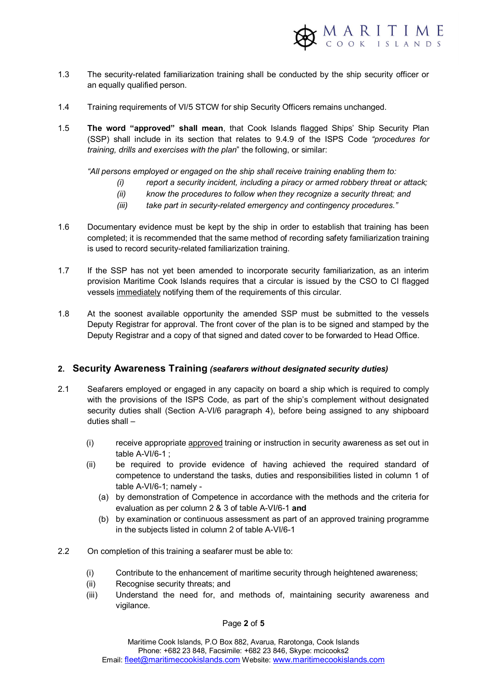

- 1.3 The security-related familiarization training shall be conducted by the ship security officer or an equally qualified person.
- 1.4 Training requirements of VI/5 STCW for ship Security Officers remains unchanged.
- 1.5 **The word "approved" shall mean**, that Cook Islands flagged Ships' Ship Security Plan (SSP) shall include in its section that relates to 9.4.9 of the ISPS Code *"procedures for training, drills and exercises with the plan*" the following, or similar:

*"All persons employed or engaged on the ship shall receive training enabling them to:* 

- *(i) report a security incident, including a piracy or armed robbery threat or attack;*
- *(ii) know the procedures to follow when they recognize a security threat; and*
- *(iii) take part in security-related emergency and contingency procedures."*
- 1.6 Documentary evidence must be kept by the ship in order to establish that training has been completed; it is recommended that the same method of recording safety familiarization training is used to record security-related familiarization training.
- 1.7 If the SSP has not yet been amended to incorporate security familiarization, as an interim provision Maritime Cook Islands requires that a circular is issued by the CSO to CI flagged vessels immediately notifying them of the requirements of this circular.
- 1.8 At the soonest available opportunity the amended SSP must be submitted to the vessels Deputy Registrar for approval. The front cover of the plan is to be signed and stamped by the Deputy Registrar and a copy of that signed and dated cover to be forwarded to Head Office.

#### **2. Security Awareness Training** *(seafarers without designated security duties)*

- 2.1Seafarers employed or engaged in any capacity on board a ship which is required to comply with the provisions of the ISPS Code, as part of the ship's complement without designated security duties shall (Section A-VI/6 paragraph 4), before being assigned to any shipboard duties shall –
	- (i) receive appropriate approved training or instruction in security awareness as set out in table A-VI/6-1 ;
	- (ii) be required to provide evidence of having achieved the required standard of competence to understand the tasks, duties and responsibilities listed in column 1 of table A-VI/6-1; namely -
		- (a) by demonstration of Competence in accordance with the methods and the criteria for evaluation as per column 2 & 3 of table A-VI/6-1 **and**
		- (b) by examination or continuous assessment as part of an approved training programme in the subjects listed in column 2 of table A-VI/6-1
- 2.2 On completion of this training a seafarer must be able to:
	- (i) Contribute to the enhancement of maritime security through heightened awareness;
	- (ii) Recognise security threats; and
	- (iii) Understand the need for, and methods of, maintaining security awareness and vigilance.

Page **2** of **5**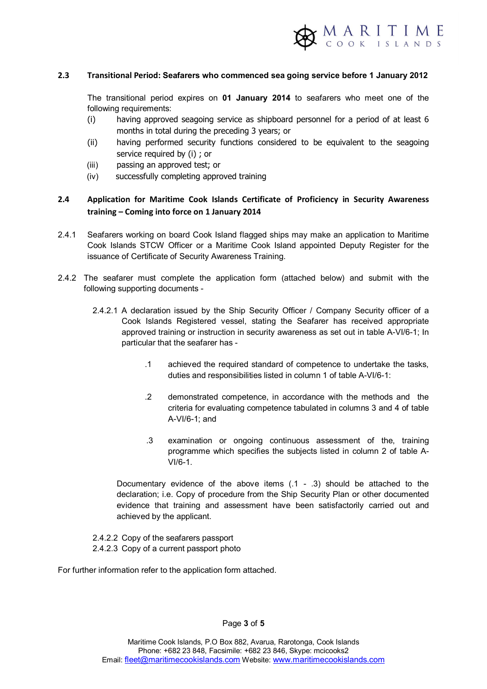

#### **2.3 Transitional Period: Seafarers who commenced sea going service before 1 January 2012**

The transitional period expires on **01 January 2014** to seafarers who meet one of the following requirements:

- (i) having approved seagoing service as shipboard personnel for a period of at least 6 months in total during the preceding 3 years; or
- (ii) having performed security functions considered to be equivalent to the seagoing service required by (i) ; or
- (iii) passing an approved test; or
- (iv) successfully completing approved training

## **2.4 Application for Maritime Cook Islands Certificate of Proficiency in Security Awareness training – Coming into force on 1 January 2014**

- 2.4.1 Seafarers working on board Cook Island flagged ships may make an application to Maritime Cook Islands STCW Officer or a Maritime Cook Island appointed Deputy Register for the issuance of Certificate of Security Awareness Training.
- 2.4.2 The seafarer must complete the application form (attached below) and submit with the following supporting documents -
	- 2.4.2.1 A declaration issued by the Ship Security Officer / Company Security officer of a Cook Islands Registered vessel, stating the Seafarer has received appropriate approved training or instruction in security awareness as set out in table A-VI/6-1; In particular that the seafarer has -
		- .1 achieved the required standard of competence to undertake the tasks, duties and responsibilities listed in column 1 of table A-VI/6-1:
		- .2 demonstrated competence, in accordance with the methods and the criteria for evaluating competence tabulated in columns 3 and 4 of table A-VI/6-1; and
		- .3 examination or ongoing continuous assessment of the, training programme which specifies the subjects listed in column 2 of table A-VI/6-1.

Documentary evidence of the above items (.1 - .3) should be attached to the declaration; i.e. Copy of procedure from the Ship Security Plan or other documented evidence that training and assessment have been satisfactorily carried out and achieved by the applicant.

2.4.2.2 Copy of the seafarers passport 2.4.2.3 Copy of a current passport photo

For further information refer to the application form attached.

Page **3** of **5**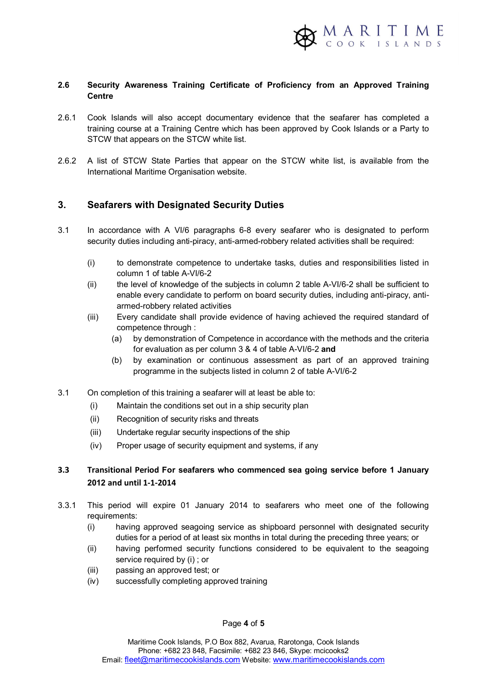

#### **2.6 Security Awareness Training Certificate of Proficiency from an Approved Training Centre**

- 2.6.1Cook Islands will also accept documentary evidence that the seafarer has completed a training course at a Training Centre which has been approved by Cook Islands or a Party to STCW that appears on the STCW white list.
- 2.6.2 A list of STCW State Parties that appear on the STCW white list, is available from the International Maritime Organisation website.

## **3. Seafarers with Designated Security Duties**

- 3.1In accordance with A VI/6 paragraphs 6-8 every seafarer who is designated to perform security duties including anti-piracy, anti-armed-robbery related activities shall be required:
	- (i) to demonstrate competence to undertake tasks, duties and responsibilities listed in column 1 of table A-VI/6-2
	- (ii) the level of knowledge of the subjects in column 2 table A-VI/6-2 shall be sufficient to enable every candidate to perform on board security duties, including anti-piracy, antiarmed-robbery related activities
	- (iii) Every candidate shall provide evidence of having achieved the required standard of competence through :
		- (a) by demonstration of Competence in accordance with the methods and the criteria for evaluation as per column 3 & 4 of table A-VI/6-2 **and**
		- (b) by examination or continuous assessment as part of an approved training programme in the subjects listed in column 2 of table A-VI/6-2
- 3.1 On completion of this training a seafarer will at least be able to:
	- (i) Maintain the conditions set out in a ship security plan
	- (ii) Recognition of security risks and threats
	- (iii) Undertake regular security inspections of the ship
	- (iv) Proper usage of security equipment and systems, if any

## **3.3 Transitional Period For seafarers who commenced sea going service before 1 January 2012 and until 1-1-2014**

- 3.3.1 This period will expire 01 January 2014 to seafarers who meet one of the following requirements:
	- (i) having approved seagoing service as shipboard personnel with designated security duties for a period of at least six months in total during the preceding three years; or
	- (ii) having performed security functions considered to be equivalent to the seagoing service required by (i) ; or
	- (iii) passing an approved test; or
	- (iv) successfully completing approved training

Page **4** of **5**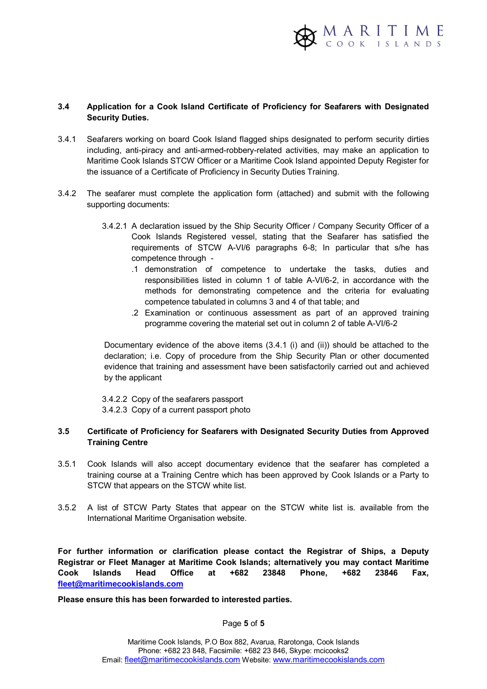

#### **3.4 Application for a Cook Island Certificate of Proficiency for Seafarers with Designated Security Duties.**

- 3.4.1Seafarers working on board Cook Island flagged ships designated to perform security dirties including, anti-piracy and anti-armed-robbery-related activities, may make an application to Maritime Cook Islands STCW Officer or a Maritime Cook Island appointed Deputy Register for the issuance of a Certificate of Proficiency in Security Duties Training.
- 3.4.2 The seafarer must complete the application form (attached) and submit with the following supporting documents:
	- 3.4.2.1 A declaration issued by the Ship Security Officer / Company Security Officer of a Cook Islands Registered vessel, stating that the Seafarer has satisfied the requirements of STCW A-VI/6 paragraphs 6-8; In particular that s/he has competence through -
		- .1 demonstration of competence to undertake the tasks, duties and responsibilities listed in column 1 of table A-VI/6-2, in accordance with the methods for demonstrating competence and the criteria for evaluating competence tabulated in columns 3 and 4 of that table; and
		- .2 Examination or continuous assessment as part of an approved training programme covering the material set out in column 2 of table A-VI/6-2

Documentary evidence of the above items (3.4.1 (i) and (ii)) should be attached to the declaration; i.e. Copy of procedure from the Ship Security Plan or other documented evidence that training and assessment have been satisfactorily carried out and achieved by the applicant

3.4.2.2 Copy of the seafarers passport 3.4.2.3 Copy of a current passport photo

## **3.5 Certificate of Proficiency for Seafarers with Designated Security Duties from Approved Training Centre**

- 3.5.1 Cook Islands will also accept documentary evidence that the seafarer has completed a training course at a Training Centre which has been approved by Cook Islands or a Party to STCW that appears on the STCW white list.
- 3.5.2 A list of STCW Party States that appear on the STCW white list is. available from the International Maritime Organisation website.

**For further information or clarification please contact the Registrar of Ships, a Deputy Registrar or Fleet Manager at Maritime Cook Islands; alternatively you may contact Maritime Cook Islands Head Office at +682 23848 Phone, +682 23846 Fax, fleet@maritimecookislands.com**

**Please ensure this has been forwarded to interested parties.** 

Page **5** of **5**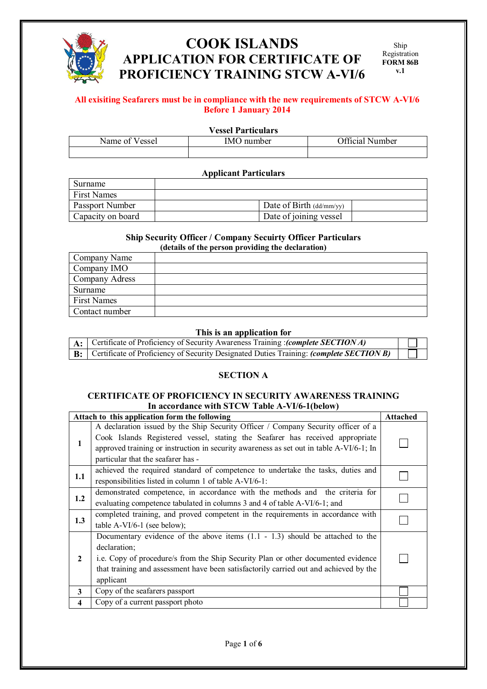

# **COOK ISLANDS APPLICATION FOR CERTIFICATE OF PROFICIENCY TRAINING STCW A-VI/6**

## **All exisiting Seafarers must be in compliance with the new requirements of STCW A-VI/6 Before 1 January 2014**

## **Vessel Particulars**

| Name of<br>Vessel | <b>IMO</b> number | Official Number |
|-------------------|-------------------|-----------------|
|                   |                   |                 |

#### **Applicant Particulars**

| Surname                |                                  |  |
|------------------------|----------------------------------|--|
| <b>First Names</b>     |                                  |  |
| <b>Passport Number</b> | Date of Birth $\frac{dd}{m}$ yy) |  |
| Capacity on board      | Date of joining vessel           |  |

#### **Ship Security Officer / Company Secuirty Officer Particulars (details of the person providing the declaration)**

| Company Name       |  |  |  |
|--------------------|--|--|--|
| Company IMO        |  |  |  |
| Company Adress     |  |  |  |
| Surname            |  |  |  |
| <b>First Names</b> |  |  |  |
| Contact number     |  |  |  |
|                    |  |  |  |

#### **This is an application for**

| $A:$ Certificate of Proficiency of Security Awareness Training : <i>(complete SECTION A)</i>      |  |
|---------------------------------------------------------------------------------------------------|--|
| <b>B:</b> Certificate of Proficiency of Security Designated Duties Training: (complete SECTION B) |  |

## **SECTION A**

#### **CERTIFICATE OF PROFICIENCY IN SECURITY AWARENESS TRAINING In accordance with STCW Table A-VI/6-1(below)**

|              | Attach to this application form the following                                                                                                                                                                                                                                                       | <b>Attached</b> |
|--------------|-----------------------------------------------------------------------------------------------------------------------------------------------------------------------------------------------------------------------------------------------------------------------------------------------------|-----------------|
| 1            | A declaration issued by the Ship Security Officer / Company Security officer of a<br>Cook Islands Registered vessel, stating the Seafarer has received appropriate<br>approved training or instruction in security awareness as set out in table A-VI/6-1; In<br>particular that the seafarer has - |                 |
| 1.1          | achieved the required standard of competence to undertake the tasks, duties and<br>responsibilities listed in column 1 of table A-VI/6-1:                                                                                                                                                           |                 |
| 1.2          | demonstrated competence, in accordance with the methods and the criteria for<br>evaluating competence tabulated in columns 3 and 4 of table A-VI/6-1; and                                                                                                                                           |                 |
| 1.3          | completed training, and proved competent in the requirements in accordance with<br>table A-VI/6-1 (see below);                                                                                                                                                                                      |                 |
| $\mathbf{2}$ | Documentary evidence of the above items $(1.1 - 1.3)$ should be attached to the<br>declaration;<br>i.e. Copy of procedure/s from the Ship Security Plan or other documented evidence<br>that training and assessment have been satisfactorily carried out and achieved by the<br>applicant          |                 |
| 3            | Copy of the seafarers passport                                                                                                                                                                                                                                                                      |                 |
| 4            | Copy of a current passport photo                                                                                                                                                                                                                                                                    |                 |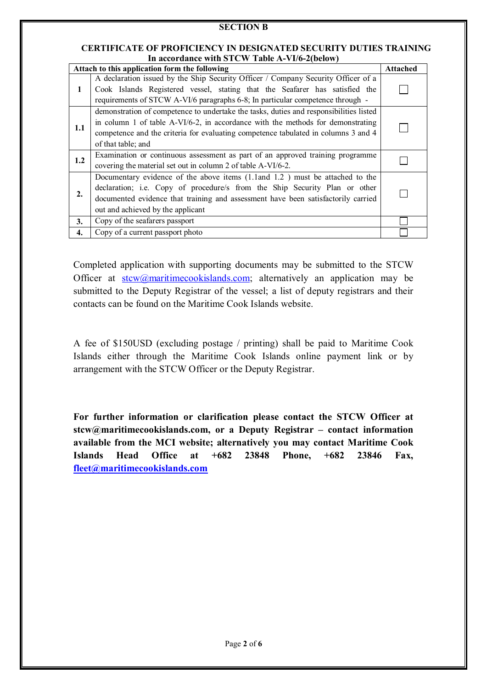#### **CERTIFICATE OF PROFICIENCY IN DESIGNATED SECURITY DUTIES TRAINING In accordance with STCW Table A-VI/6-2(below)**

|                  | Attach to this application form the following                                                                                                                                                                                                                                         | <b>Attached</b> |
|------------------|---------------------------------------------------------------------------------------------------------------------------------------------------------------------------------------------------------------------------------------------------------------------------------------|-----------------|
| 1                | A declaration issued by the Ship Security Officer / Company Security Officer of a<br>Cook Islands Registered vessel, stating that the Seafarer has satisfied the<br>requirements of STCW A-VI/6 paragraphs 6-8; In particular competence through -                                    |                 |
| 1.1              | demonstration of competence to undertake the tasks, duties and responsibilities listed<br>in column 1 of table A-VI/6-2, in accordance with the methods for demonstrating<br>competence and the criteria for evaluating competence tabulated in columns 3 and 4<br>of that table; and |                 |
| 1.2              | Examination or continuous assessment as part of an approved training programme<br>covering the material set out in column 2 of table A-VI/6-2.                                                                                                                                        |                 |
| $\overline{2}$ . | Documentary evidence of the above items (1.1 and 1.2) must be attached to the<br>declaration; i.e. Copy of procedure/s from the Ship Security Plan or other<br>documented evidence that training and assessment have been satisfactorily carried<br>out and achieved by the applicant |                 |
| 3.               | Copy of the seafarers passport                                                                                                                                                                                                                                                        |                 |
| 4.               | Copy of a current passport photo                                                                                                                                                                                                                                                      |                 |

Completed application with supporting documents may be submitted to the STCW Officer at  $stcw@martimecookislands.com$ ; alternatively an application may be submitted to the Deputy Registrar of the vessel; a list of deputy registrars and their contacts can be found on the Maritime Cook Islands website.

A fee of \$150USD (excluding postage / printing) shall be paid to Maritime Cook Islands either through the Maritime Cook Islands online payment link or by arrangement with the STCW Officer or the Deputy Registrar.

**For further information or clarification please contact the STCW Officer at stcw@maritimecookislands.com, or a Deputy Registrar – contact information available from the MCI website; alternatively you may contact Maritime Cook Islands Head Office at +682 23848 Phone, +682 23846 Fax, fleet@maritimecookislands.com**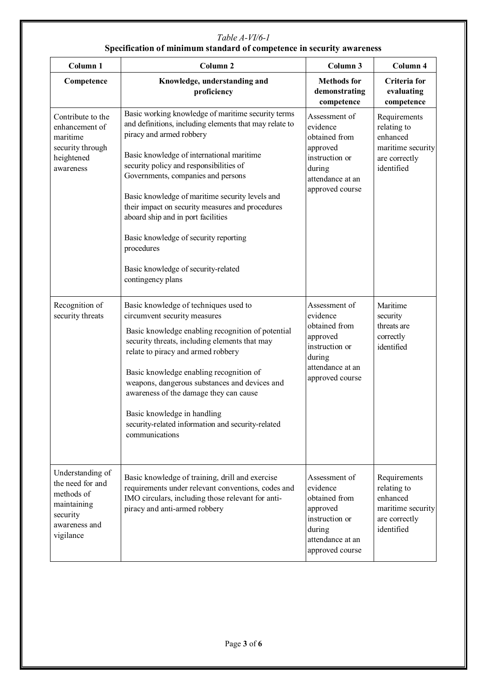# *Table A-VI/6-1*  **Specification of minimum standard of competence in security awareness**

| Column 1                                                                                                    | Column <sub>2</sub>                                                                                                                                                                                                                                                                                                                                                                                                                                                                                                                    | Column 3                                                                                                                  | Column 4                                                                                    |
|-------------------------------------------------------------------------------------------------------------|----------------------------------------------------------------------------------------------------------------------------------------------------------------------------------------------------------------------------------------------------------------------------------------------------------------------------------------------------------------------------------------------------------------------------------------------------------------------------------------------------------------------------------------|---------------------------------------------------------------------------------------------------------------------------|---------------------------------------------------------------------------------------------|
| Competence                                                                                                  | Knowledge, understanding and<br>proficiency                                                                                                                                                                                                                                                                                                                                                                                                                                                                                            | <b>Methods</b> for<br>demonstrating<br>competence                                                                         | Criteria for<br>evaluating<br>competence                                                    |
| Contribute to the<br>enhancement of<br>maritime<br>security through<br>heightened<br>awareness              | Basic working knowledge of maritime security terms<br>and definitions, including elements that may relate to<br>piracy and armed robbery<br>Basic knowledge of international maritime<br>security policy and responsibilities of<br>Governments, companies and persons<br>Basic knowledge of maritime security levels and<br>their impact on security measures and procedures<br>aboard ship and in port facilities<br>Basic knowledge of security reporting<br>procedures<br>Basic knowledge of security-related<br>contingency plans | Assessment of<br>evidence<br>obtained from<br>approved<br>instruction or<br>during<br>attendance at an<br>approved course | Requirements<br>relating to<br>enhanced<br>maritime security<br>are correctly<br>identified |
| Recognition of<br>security threats                                                                          | Basic knowledge of techniques used to<br>circumvent security measures<br>Basic knowledge enabling recognition of potential<br>security threats, including elements that may<br>relate to piracy and armed robbery<br>Basic knowledge enabling recognition of<br>weapons, dangerous substances and devices and<br>awareness of the damage they can cause<br>Basic knowledge in handling<br>security-related information and security-related<br>communications                                                                          | Assessment of<br>evidence<br>obtained from<br>approved<br>instruction or<br>during<br>attendance at an<br>approved course | Maritime<br>security<br>threats are<br>correctly<br>identified                              |
| Understanding of<br>the need for and<br>methods of<br>maintaining<br>security<br>awareness and<br>vigilance | Basic knowledge of training, drill and exercise<br>requirements under relevant conventions, codes and<br>IMO circulars, including those relevant for anti-<br>piracy and anti-armed robbery                                                                                                                                                                                                                                                                                                                                            | Assessment of<br>evidence<br>obtained from<br>approved<br>instruction or<br>during<br>attendance at an<br>approved course | Requirements<br>relating to<br>enhanced<br>maritime security<br>are correctly<br>identified |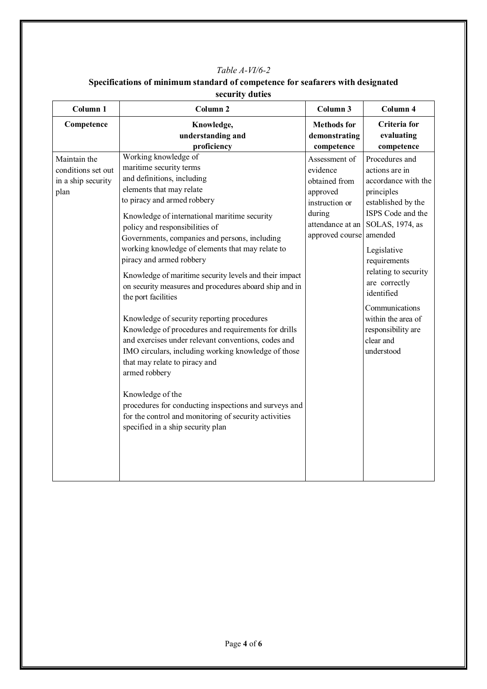## *Table A-VI/6-2*

| Specifications of minimum standard of competence for seafarers with designated |  |
|--------------------------------------------------------------------------------|--|
| security duties                                                                |  |
|                                                                                |  |

| Column <sub>1</sub>                                              | Column <sub>2</sub>                                                                                                                                                                                                                                                                                                                                                                                                                                                                                                                                                                                                                                                                                                                                                                                                                                                                                                                                    | Column 3                                                                                                                  | Column 4                                                                                                                                                                                                                                                                                                                      |
|------------------------------------------------------------------|--------------------------------------------------------------------------------------------------------------------------------------------------------------------------------------------------------------------------------------------------------------------------------------------------------------------------------------------------------------------------------------------------------------------------------------------------------------------------------------------------------------------------------------------------------------------------------------------------------------------------------------------------------------------------------------------------------------------------------------------------------------------------------------------------------------------------------------------------------------------------------------------------------------------------------------------------------|---------------------------------------------------------------------------------------------------------------------------|-------------------------------------------------------------------------------------------------------------------------------------------------------------------------------------------------------------------------------------------------------------------------------------------------------------------------------|
| Competence                                                       | Knowledge,<br>understanding and<br>proficiency                                                                                                                                                                                                                                                                                                                                                                                                                                                                                                                                                                                                                                                                                                                                                                                                                                                                                                         | <b>Methods</b> for<br>demonstrating<br>competence                                                                         | <b>Criteria</b> for<br>evaluating<br>competence                                                                                                                                                                                                                                                                               |
| Maintain the<br>conditions set out<br>in a ship security<br>plan | Working knowledge of<br>maritime security terms<br>and definitions, including<br>elements that may relate<br>to piracy and armed robbery<br>Knowledge of international maritime security<br>policy and responsibilities of<br>Governments, companies and persons, including<br>working knowledge of elements that may relate to<br>piracy and armed robbery<br>Knowledge of maritime security levels and their impact<br>on security measures and procedures aboard ship and in<br>the port facilities<br>Knowledge of security reporting procedures<br>Knowledge of procedures and requirements for drills<br>and exercises under relevant conventions, codes and<br>IMO circulars, including working knowledge of those<br>that may relate to piracy and<br>armed robbery<br>Knowledge of the<br>procedures for conducting inspections and surveys and<br>for the control and monitoring of security activities<br>specified in a ship security plan | Assessment of<br>evidence<br>obtained from<br>approved<br>instruction or<br>during<br>attendance at an<br>approved course | Procedures and<br>actions are in<br>accordance with the<br>principles<br>established by the<br>ISPS Code and the<br>SOLAS, 1974, as<br>amended<br>Legislative<br>requirements<br>relating to security<br>are correctly<br>identified<br>Communications<br>within the area of<br>responsibility are<br>clear and<br>understood |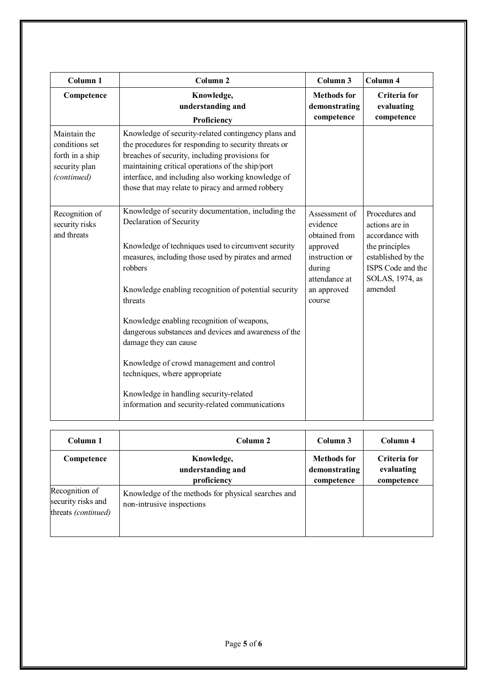| Column <sub>1</sub>                                                               | Column <sub>2</sub>                                                                                                                                                                                                                                                                                                          | Column 3                                                                                            | Column 4                                                                                                                            |
|-----------------------------------------------------------------------------------|------------------------------------------------------------------------------------------------------------------------------------------------------------------------------------------------------------------------------------------------------------------------------------------------------------------------------|-----------------------------------------------------------------------------------------------------|-------------------------------------------------------------------------------------------------------------------------------------|
| Competence                                                                        | Knowledge,<br>understanding and<br>Proficiency                                                                                                                                                                                                                                                                               | <b>Methods</b> for<br>demonstrating<br>competence                                                   | Criteria for<br>evaluating<br>competence                                                                                            |
| Maintain the<br>conditions set<br>forth in a ship<br>security plan<br>(continued) | Knowledge of security-related contingency plans and<br>the procedures for responding to security threats or<br>breaches of security, including provisions for<br>maintaining critical operations of the ship/port<br>interface, and including also working knowledge of<br>those that may relate to piracy and armed robbery |                                                                                                     |                                                                                                                                     |
| Recognition of<br>security risks<br>and threats                                   | Knowledge of security documentation, including the<br>Declaration of Security<br>Knowledge of techniques used to circumvent security<br>measures, including those used by pirates and armed<br>robbers                                                                                                                       | Assessment of<br>evidence<br>obtained from<br>approved<br>instruction or<br>during<br>attendance at | Procedures and<br>actions are in<br>accordance with<br>the principles<br>established by the<br>ISPS Code and the<br>SOLAS, 1974, as |
|                                                                                   | Knowledge enabling recognition of potential security<br>threats<br>Knowledge enabling recognition of weapons,<br>dangerous substances and devices and awareness of the<br>damage they can cause                                                                                                                              | an approved<br>course                                                                               | amended                                                                                                                             |
|                                                                                   | Knowledge of crowd management and control<br>techniques, where appropriate<br>Knowledge in handling security-related<br>information and security-related communications                                                                                                                                                      |                                                                                                     |                                                                                                                                     |

| Column 1                                                    | Column 2                                                                        | Column 3                                          | Column 4                                 |
|-------------------------------------------------------------|---------------------------------------------------------------------------------|---------------------------------------------------|------------------------------------------|
| Competence                                                  | Knowledge,<br>understanding and<br>proficiency                                  | <b>Methods for</b><br>demonstrating<br>competence | Criteria for<br>evaluating<br>competence |
| Recognition of<br>security risks and<br>threats (continued) | Knowledge of the methods for physical searches and<br>non-intrusive inspections |                                                   |                                          |